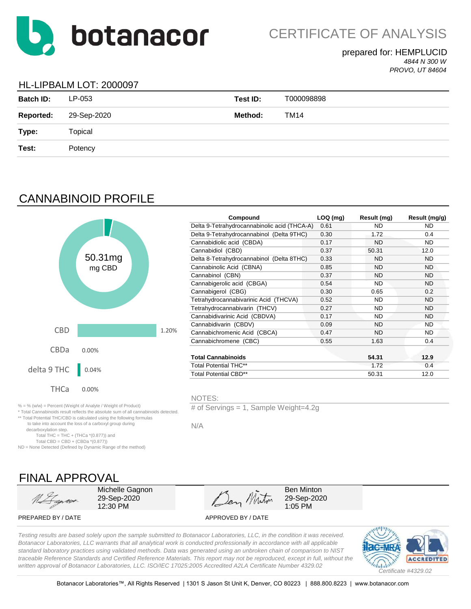

CERTIFICATE OF ANALYSIS

#### prepared for: HEMPLUCID *4844 N 300 W PROVO, UT 84604*

### HL-LIPBALM LOT: 2000097

| <b>Batch ID:</b> | LP-053      | Test ID: | T000098898 |
|------------------|-------------|----------|------------|
| <b>Reported:</b> | 29-Sep-2020 | Method:  | TM14       |
| Type:            | Topical     |          |            |
| Test:            | Potency     |          |            |
|                  |             |          |            |

# CANNABINOID PROFILE



|        |       | Compound                                     | $LOQ$ (mg) | Result (mg) | Result (mg/g) |
|--------|-------|----------------------------------------------|------------|-------------|---------------|
|        |       | Delta 9-Tetrahydrocannabinolic acid (THCA-A) | 0.61       | ND.         | ND.           |
|        |       | Delta 9-Tetrahydrocannabinol (Delta 9THC)    | 0.30       | 1.72        | 0.4           |
|        |       | Cannabidiolic acid (CBDA)                    | 0.17       | <b>ND</b>   | ND.           |
|        |       | Cannabidiol (CBD)                            | 0.37       | 50.31       | 12.0          |
| 0.31mg |       | Delta 8-Tetrahydrocannabinol (Delta 8THC)    | 0.33       | <b>ND</b>   | ND.           |
| mg CBD |       | Cannabinolic Acid (CBNA)                     | 0.85       | <b>ND</b>   | <b>ND</b>     |
|        |       | Cannabinol (CBN)                             | 0.37       | <b>ND</b>   | ND.           |
|        |       | Cannabigerolic acid (CBGA)                   | 0.54       | <b>ND</b>   | <b>ND</b>     |
|        |       | Cannabigerol (CBG)                           | 0.30       | 0.65        | 0.2           |
|        |       | Tetrahydrocannabivarinic Acid (THCVA)        | 0.52       | ND          | ND.           |
|        |       | Tetrahydrocannabivarin (THCV)                | 0.27       | ND          | ND.           |
|        |       | Cannabidivarinic Acid (CBDVA)                | 0.17       | <b>ND</b>   | <b>ND</b>     |
|        |       | Cannabidivarin (CBDV)                        | 0.09       | <b>ND</b>   | <b>ND</b>     |
|        | 1.20% | Cannabichromenic Acid (CBCA)                 | 0.47       | <b>ND</b>   | ND.           |
|        |       | Cannabichromene (CBC)                        | 0.55       | 1.63        | 0.4           |
| 10%    |       |                                              |            |             |               |
|        |       | <b>Total Cannabinoids</b>                    |            | 54.31       | 12.9          |
|        |       | <b>Total Potential THC**</b>                 |            | 1.72        | 0.4           |
| 04%    |       | <b>Total Potential CBD**</b>                 |            | 50.31       | 12.0          |
|        |       |                                              |            |             |               |

NOTES:

# of Servings = 1, Sample Weight=4.2g

N/A

FINAL APPROVAL

% = % (w/w) = Percent (Weight of Analyte / Weight of Product)

Total THC = THC + (THCa  $*(0.877)$ ) and Total CBD = CBD +  $(CBDa * (0.877))$ ND = None Detected (Defined by Dynamic Range of the method)

\* Total Cannabinoids result reflects the absolute sum of all cannabinoids detected. \*\* Total Potential THC/CBD is calculated using the following formulas to take into account the loss of a carboxyl group during

decarboxylation step.

Michelle Gagnon 29-Sep-2020 12:30 PM

Den Minton

Ben Minton 29-Sep-2020 1:05 PM

PREPARED BY / DATE APPROVED BY / DATE

*Testing results are based solely upon the sample submitted to Botanacor Laboratories, LLC, in the condition it was received. Botanacor Laboratories, LLC warrants that all analytical work is conducted professionally in accordance with all applicable standard laboratory practices using validated methods. Data was generated using an unbroken chain of comparison to NIST traceable Reference Standards and Certified Reference Materials. This report may not be reproduced, except in full, without the written approval of Botanacor Laboratories, LLC. ISO/IEC 17025:2005 Accredited A2LA Certificate Number 4329.02*

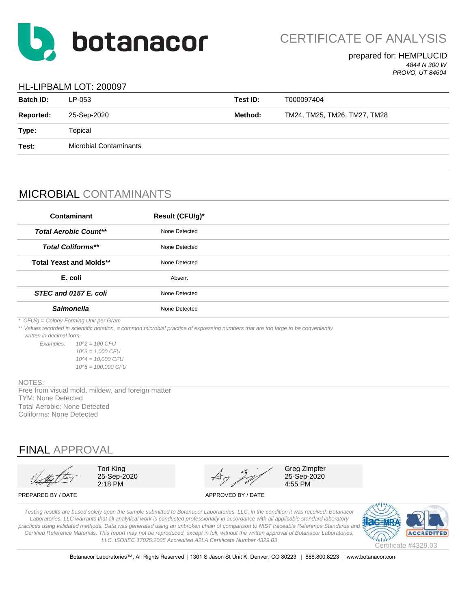

CERTIFICATE OF ANALYSIS

### prepared for: HEMPLUCID *4844 N 300 W*

*PROVO, UT 84604*

### HL-LIPBALM LOT: 200097

| <b>Batch ID:</b> | LP-053                        | Test ID: | T000097404                   |
|------------------|-------------------------------|----------|------------------------------|
| <b>Reported:</b> | 25-Sep-2020                   | Method:  | TM24, TM25, TM26, TM27, TM28 |
| Type:            | Topical                       |          |                              |
| Test:            | <b>Microbial Contaminants</b> |          |                              |
|                  |                               |          |                              |

## MICROBIAL CONTAMINANTS

| Contaminant                            | Result (CFU/g)* |  |
|----------------------------------------|-----------------|--|
| <b>Total Aerobic Count**</b>           | None Detected   |  |
| <b>Total Coliforms**</b>               | None Detected   |  |
| <b>Total Yeast and Molds**</b>         | None Detected   |  |
| E. coli                                | Absent          |  |
| STEC and 0157 E. coli                  | None Detected   |  |
| <b>Salmonella</b>                      | None Detected   |  |
| * CFU/g = Colony Forming Unit per Gram |                 |  |

*\*\* Values recorded in scientific notation, a common microbial practice of expressing numbers that are too large to be conveniently* 

 *written in decimal form.*

*Examples: 10^2 = 100 CFU 10^3 = 1,000 CFU 10^4 = 10,000 CFU 10^5 = 100,000 CFU*

#### NOTES:

Total Aerobic: None Detected Coliforms: None Detected TYM: None Detected Free from visual mold, mildew, and foreign matter

## FINAL APPROVAL



Tori King 25-Sep-2020 2:18 PM

Greg Zimpfer 25-Sep-2020 4:55 PM

PREPARED BY / DATE APPROVED BY / DATE

*Testing results are based solely upon the sample submitted to Botanacor Laboratories, LLC, in the condition it was received. Botanacor Laboratories, LLC warrants that all analytical work is conducted professionally in accordance with all applicable standard laboratory*  practices using validated methods. Data was generated using an unbroken chain of comparison to NIST traceable Reference Standards and *Certified Reference Materials. This report may not be reproduced, except in full, without the written approval of Botanacor Laboratories, LLC. ISO/IEC 17025:2005 Accredited A2LA Certificate Number 4329.03*



Botanacor Laboratories™, All Rights Reserved | 1301 S Jason St Unit K, Denver, CO 80223 | 888.800.8223 | www.botanacor.com